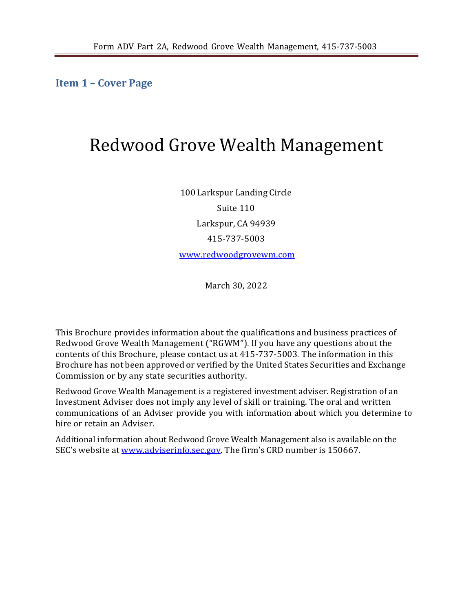<span id="page-0-0"></span>**Item 1 – Cover Page**

# Redwood Grove Wealth Management

100 Larkspur Landing Circle Suite 110 Larkspur, CA 94939 415-737-5003 [www.redwoodgrovewm.com](http://www.redwoodgrovewm.com/)

March 30, 2022

This Brochure provides information about the qualifications and business practices of Redwood Grove Wealth Management ("RGWM"). If you have any questions about the contents of this Brochure, please contact us at 415-737-5003. The information in this Brochure has not been approved or verified by the United States Securities and Exchange Commission or by any state securities authority.

Redwood Grove Wealth Management is a registered investment adviser. Registration of an Investment Adviser does not imply any level of skill or training. The oral and written communications of an Adviser provide you with information about which you determine to hire or retain an Adviser.

Additional information about Redwood Grove Wealth Management also is available on the SEC's website at [www.adviserinfo.sec.gov. T](http://www.adviserinfo.sec.gov/)he firm's CRD number is 150667.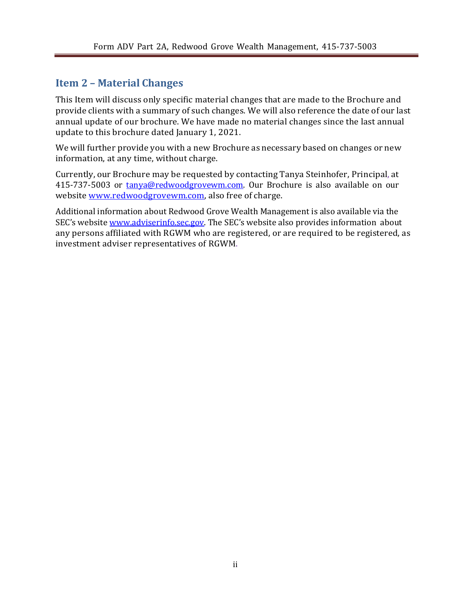## <span id="page-1-0"></span>**Item 2 – Material Changes**

This Item will discuss only specific material changes that are made to the Brochure and provide clients with a summary of such changes. We will also reference the date of our last annual update of our brochure. We have made no material changes since the last annual update to this brochure dated January 1, 2021.

We will further provide you with a new Brochure as necessary based on changes or new information, at any time, without charge.

Currently, our Brochure may be requested by contacting Tanya Steinhofer, Principal, at 415-737-5003 or [tanya@redwoodgrovewm.com. O](mailto:tanya@redwoodgrovewm.com)ur Brochure is also available on our website [www.redwoodgrovewm.com, a](http://www.redwoodgrovewm.com/)lso free of charge.

Additional information about Redwood Grove Wealth Management is also available via the SEC's website [www.adviserinfo.sec.gov. T](http://www.adviserinfo.sec.gov/)he SEC's website also provides information about any persons affiliated with RGWM who are registered, or are required to be registered, as investment adviser representatives of RGWM.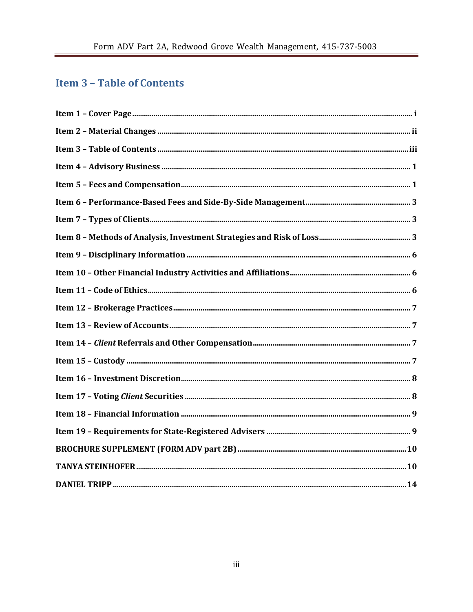# <span id="page-2-0"></span>**Item 3 - Table of Contents**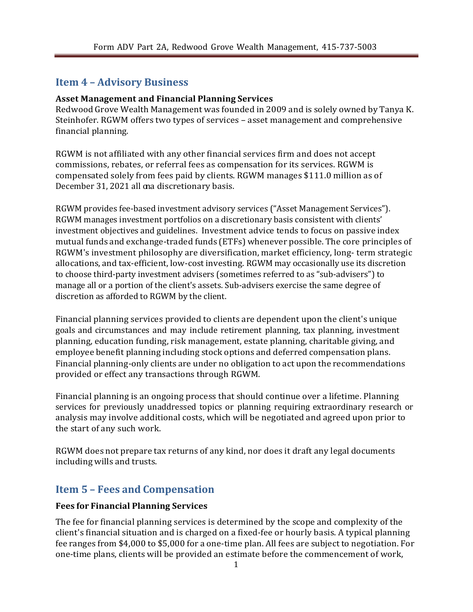## <span id="page-3-0"></span>**Item 4 – Advisory Business**

#### **Asset Management and Financial Planning Services**

Redwood Grove Wealth Management was founded in 2009 and is solely owned by Tanya K. Steinhofer. RGWM offers two types of services – asset management and comprehensive financial planning.

RGWM is not affiliated with any other financial services firm and does not accept commissions, rebates, or referral fees as compensation for its services. RGWM is compensated solely from fees paid by clients. RGWM manages \$111.0 million as of December 31, 2021 all ona discretionary basis.

RGWM provides fee-based investment advisory services ("Asset Management Services"). RGWM manages investment portfolios on a discretionary basis consistent with clients' investment objectives and guidelines. Investment advice tends to focus on passive index mutual funds and exchange-traded funds (ETFs) whenever possible. The core principles of RGWM's investment philosophy are diversification, market efficiency, long- term strategic allocations, and tax-efficient, low-cost investing. RGWM may occasionally use its discretion to choose third-party investment advisers (sometimes referred to as "sub-advisers") to manage all or a portion of the client's assets. Sub-advisers exercise the same degree of discretion as afforded to RGWM by the client.

Financial planning services provided to clients are dependent upon the client's unique goals and circumstances and may include retirement planning, tax planning, investment planning, education funding, risk management, estate planning, charitable giving, and employee benefit planning including stock options and deferred compensation plans. Financial planning-only clients are under no obligation to act upon the recommendations provided or effect any transactions through RGWM.

Financial planning is an ongoing process that should continue over a lifetime. Planning services for previously unaddressed topics or planning requiring extraordinary research or analysis may involve additional costs, which will be negotiated and agreed upon prior to the start of any such work.

RGWM does not prepare tax returns of any kind, nor does it draft any legal documents including wills and trusts.

### <span id="page-3-1"></span>**Item 5 – Fees and Compensation**

#### **Fees for Financial Planning Services**

The fee for financial planning services is determined by the scope and complexity of the client's financial situation and is charged on a fixed-fee or hourly basis. A typical planning fee ranges from \$4,000 to \$5,000 for a one-time plan. All fees are subject to negotiation. For one-time plans, clients will be provided an estimate before the commencement of work,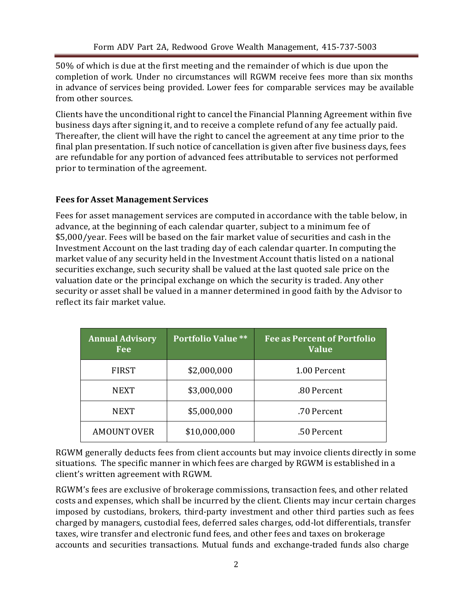50% of which is due at the first meeting and the remainder of which is due upon the completion of work. Under no circumstances will RGWM receive fees more than six months in advance of services being provided. Lower fees for comparable services may be available from other sources.

Clients have the unconditional right to cancel the Financial Planning Agreement within five business days after signing it, and to receive a complete refund of any fee actually paid. Thereafter, the client will have the right to cancel the agreement at any time prior to the final plan presentation. If such notice of cancellation is given after five business days, fees are refundable for any portion of advanced fees attributable to services not performed prior to termination of the agreement.

#### **Fees for Asset Management Services**

Fees for asset management services are computed in accordance with the table below, in advance, at the beginning of each calendar quarter, subject to a minimum fee of \$5,000/year. Fees will be based on the fair market value of securities and cash in the Investment Account on the last trading day of each calendar quarter. In computing the market value of any security held in the Investment Account thatis listed on a national securities exchange, such security shall be valued at the last quoted sale price on the valuation date or the principal exchange on which the security is traded. Any other security or asset shall be valued in a manner determined in good faith by the Advisor to reflect its fair market value.

| <b>Annual Advisory</b><br><b>Fee</b> | <b>Portfolio Value **</b> | <b>Fee as Percent of Portfolio</b><br><b>Value</b> |
|--------------------------------------|---------------------------|----------------------------------------------------|
| <b>FIRST</b>                         | \$2,000,000               | 1.00 Percent                                       |
| <b>NEXT</b>                          | \$3,000,000               | .80 Percent                                        |
| NEXT                                 | \$5,000,000               | .70 Percent                                        |
| <b>AMOUNT OVER</b>                   | \$10,000,000              | .50 Percent                                        |

RGWM generally deducts fees from client accounts but may invoice clients directly in some situations. The specific manner in which fees are charged by RGWM is established in a client's written agreement with RGWM.

RGWM's fees are exclusive of brokerage commissions, transaction fees, and other related costs and expenses, which shall be incurred by the client. Clients may incur certain charges imposed by custodians, brokers, third-party investment and other third parties such as fees charged by managers, custodial fees, deferred sales charges, odd-lot differentials, transfer taxes, wire transfer and electronic fund fees, and other fees and taxes on brokerage accounts and securities transactions. Mutual funds and exchange-traded funds also charge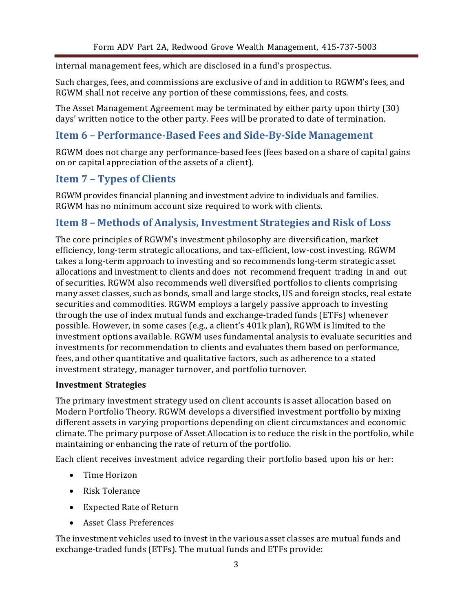internal management fees, which are disclosed in a fund's prospectus.

Such charges, fees, and commissions are exclusive of and in addition to RGWM's fees, and RGWM shall not receive any portion of these commissions, fees, and costs.

The Asset Management Agreement may be terminated by either party upon thirty (30) days' written notice to the other party. Fees will be prorated to date of termination.

## <span id="page-5-0"></span>**Item 6 – Performance-Based Fees and Side-By-Side Management**

RGWM does not charge any performance-based fees (fees based on a share of capital gains on or capital appreciation of the assets of a client).

## <span id="page-5-1"></span>**Item 7 – Types of Clients**

RGWM provides financial planning and investment advice to individuals and families. RGWM has no minimum account size required to work with clients.

## <span id="page-5-2"></span>**Item 8 – Methods of Analysis, Investment Strategies and Risk of Loss**

The core principles of RGWM's investment philosophy are diversification, market efficiency, long-term strategic allocations, and tax-efficient, low-cost investing. RGWM takes a long-term approach to investing and so recommends long-term strategic asset allocations and investment to clients and does not recommend frequent trading in and out of securities. RGWM also recommends well diversified portfolios to clients comprising many asset classes, such as bonds, small and large stocks, US and foreign stocks, real estate securities and commodities. RGWM employs a largely passive approach to investing through the use of index mutual funds and exchange-traded funds (ETFs) whenever possible. However, in some cases (e.g., a client's 401k plan), RGWM is limited to the investment options available. RGWM uses fundamental analysis to evaluate securities and investments for recommendation to clients and evaluates them based on performance, fees, and other quantitative and qualitative factors, such as adherence to a stated investment strategy, manager turnover, and portfolio turnover.

#### **Investment Strategies**

The primary investment strategy used on client accounts is asset allocation based on Modern Portfolio Theory. RGWM develops a diversified investment portfolio by mixing different assets in varying proportions depending on client circumstances and economic climate. The primary purpose of Asset Allocation is to reduce the risk in the portfolio, while maintaining or enhancing the rate of return of the portfolio.

Each client receives investment advice regarding their portfolio based upon his or her:

- Time Horizon
- Risk Tolerance
- Expected Rate of Return
- Asset Class Preferences

The investment vehicles used to invest in the various asset classes are mutual funds and exchange-traded funds (ETFs). The mutual funds and ETFs provide: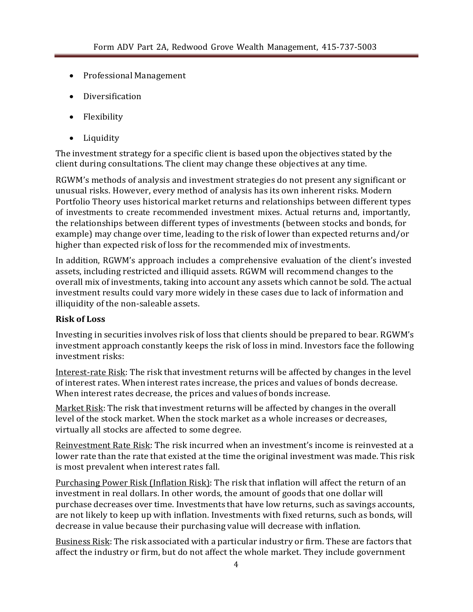- Professional Management
- Diversification
- Flexibility
- Liquidity

The investment strategy for a specific client is based upon the objectives stated by the client during consultations. The client may change these objectives at any time.

RGWM's methods of analysis and investment strategies do not present any significant or unusual risks. However, every method of analysis has its own inherent risks. Modern Portfolio Theory uses historical market returns and relationships between different types of investments to create recommended investment mixes. Actual returns and, importantly, the relationships between different types of investments (between stocks and bonds, for example) may change over time, leading to the risk of lower than expected returns and/or higher than expected risk of loss for the recommended mix of investments.

In addition, RGWM's approach includes a comprehensive evaluation of the client's invested assets, including restricted and illiquid assets. RGWM will recommend changes to the overall mix of investments, taking into account any assets which cannot be sold. The actual investment results could vary more widely in these cases due to lack of information and illiquidity of the non-saleable assets.

#### **Risk of Loss**

Investing in securities involves risk of loss that clients should be prepared to bear. RGWM's investment approach constantly keeps the risk of loss in mind. Investors face the following investment risks:

Interest-rate Risk: The risk that investment returns will be affected by changes in the level of interest rates. When interest rates increase, the prices and values of bonds decrease. When interest rates decrease, the prices and values of bonds increase.

Market Risk: The risk that investment returns will be affected by changes in the overall level of the stock market. When the stock market as a whole increases or decreases, virtually all stocks are affected to some degree.

Reinvestment Rate Risk: The risk incurred when an investment's income is reinvested at a lower rate than the rate that existed at the time the original investment was made. This risk is most prevalent when interest rates fall.

Purchasing Power Risk (Inflation Risk): The risk that inflation will affect the return of an investment in real dollars. In other words, the amount of goods that one dollar will purchase decreases over time. Investments that have low returns, such as savings accounts, are not likely to keep up with inflation. Investments with fixed returns, such as bonds, will decrease in value because their purchasing value will decrease with inflation.

Business Risk: The risk associated with a particular industry or firm. These are factors that affect the industry or firm, but do not affect the whole market. They include government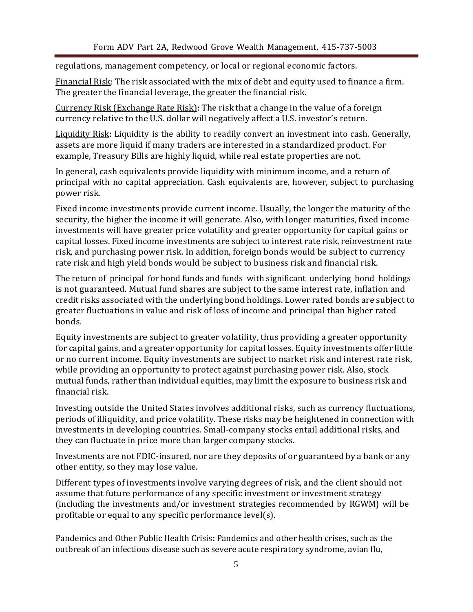regulations, management competency, or local or regional economic factors.

Financial Risk: The risk associated with the mix of debt and equity used to finance a firm. The greater the financial leverage, the greater the financial risk.

Currency Risk (Exchange Rate Risk): The risk that a change in the value of a foreign currency relative to the U.S. dollar will negatively affect a U.S. investor's return.

Liquidity Risk: Liquidity is the ability to readily convert an investment into cash. Generally, assets are more liquid if many traders are interested in a standardized product. For example, Treasury Bills are highly liquid, while real estate properties are not.

In general, cash equivalents provide liquidity with minimum income, and a return of principal with no capital appreciation. Cash equivalents are, however, subject to purchasing power risk.

Fixed income investments provide current income. Usually, the longer the maturity of the security, the higher the income it will generate. Also, with longer maturities, fixed income investments will have greater price volatility and greater opportunity for capital gains or capital losses. Fixed income investments are subject to interest rate risk, reinvestment rate risk, and purchasing power risk. In addition, foreign bonds would be subject to currency rate risk and high yield bonds would be subject to business risk and financial risk.

The return of principal for bond funds and funds with significant underlying bond holdings is not guaranteed. Mutual fund shares are subject to the same interest rate, inflation and credit risks associated with the underlying bond holdings. Lower rated bonds are subject to greater fluctuations in value and risk of loss of income and principal than higher rated bonds.

Equity investments are subject to greater volatility, thus providing a greater opportunity for capital gains, and a greater opportunity for capital losses. Equity investments offer little or no current income. Equity investments are subject to market risk and interest rate risk, while providing an opportunity to protect against purchasing power risk. Also, stock mutual funds, rather than individual equities, may limit the exposure to business risk and financial risk.

Investing outside the United States involves additional risks, such as currency fluctuations, periods of illiquidity, and price volatility. These risks may be heightened in connection with investments in developing countries. Small-company stocks entail additional risks, and they can fluctuate in price more than larger company stocks.

Investments are not FDIC-insured, nor are they deposits of or guaranteed by a bank or any other entity, so they may lose value.

Different types of investments involve varying degrees of risk, and the client should not assume that future performance of any specific investment or investment strategy (including the investments and/or investment strategies recommended by RGWM) will be profitable or equal to any specific performance level(s).

Pandemics and Other Public Health Crisis**:** Pandemics and other health crises, such as the outbreak of an infectious disease such as severe acute respiratory syndrome, avian flu,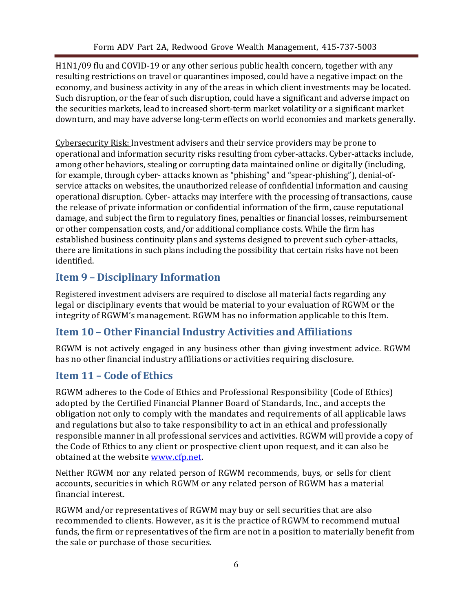H1N1/09 flu and COVID-19 or any other serious public health concern, together with any resulting restrictions on travel or quarantines imposed, could have a negative impact on the economy, and business activity in any of the areas in which client investments may be located. Such disruption, or the fear of such disruption, could have a significant and adverse impact on the securities markets, lead to increased short-term market volatility or a significant market downturn, and may have adverse long-term effects on world economies and markets generally.

Cybersecurity Risk: Investment advisers and their service providers may be prone to operational and information security risks resulting from cyber-attacks. Cyber-attacks include, among other behaviors, stealing or corrupting data maintained online or digitally (including, for example, through cyber- attacks known as "phishing" and "spear-phishing"), denial-ofservice attacks on websites, the unauthorized release of confidential information and causing operational disruption. Cyber- attacks may interfere with the processing of transactions, cause the release of private information or confidential information of the firm, cause reputational damage, and subject the firm to regulatory fines, penalties or financial losses, reimbursement or other compensation costs, and/or additional compliance costs. While the firm has established business continuity plans and systems designed to prevent such cyber-attacks, there are limitations in such plans including the possibility that certain risks have not been identified.

## <span id="page-8-0"></span>**Item 9 – Disciplinary Information**

Registered investment advisers are required to disclose all material facts regarding any legal or disciplinary events that would be material to your evaluation of RGWM or the integrity of RGWM's management. RGWM has no information applicable to this Item.

## <span id="page-8-1"></span>**Item 10 – Other Financial Industry Activities and Affiliations**

RGWM is not actively engaged in any business other than giving investment advice. RGWM has no other financial industry affiliations or activities requiring disclosure.

## <span id="page-8-2"></span>**Item 11 – Code of Ethics**

RGWM adheres to the Code of Ethics and Professional Responsibility (Code of Ethics) adopted by the Certified Financial Planner Board of Standards, Inc., and accepts the obligation not only to comply with the mandates and requirements of all applicable laws and regulations but also to take responsibility to act in an ethical and professionally responsible manner in all professional services and activities. RGWM will provide a copy of the Code of Ethics to any client or prospective client upon request, and it can also be obtained at the website [www.cfp.net.](http://www.cfp.net/)

Neither RGWM nor any related person of RGWM recommends, buys, or sells for client accounts, securities in which RGWM or any related person of RGWM has a material financial interest.

RGWM and/or representatives of RGWM may buy or sell securities that are also recommended to clients. However, as it is the practice of RGWM to recommend mutual funds, the firm or representatives of the firm are not in a position to materially benefit from the sale or purchase of those securities.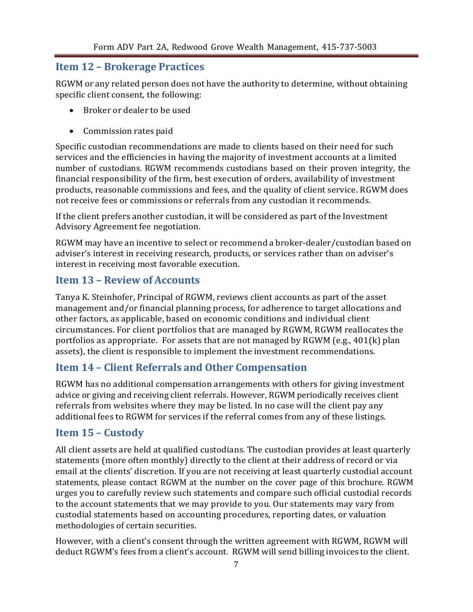## <span id="page-9-0"></span>**Item 12 – Brokerage Practices**

RGWM or any related person does not have the authority to determine, without obtaining specific client consent, the following:

- Broker or dealer to be used
- Commission rates paid

Specific custodian recommendations are made to clients based on their need for such services and the efficiencies in having the majority of investment accounts at a limited number of custodians. RGWM recommends custodians based on their proven integrity, the financial responsibility of the firm, best execution of orders, availability of investment products, reasonable commissions and fees, and the quality of client service. RGWM does not receive fees or commissions or referrals from any custodian it recommends.

If the client prefers another custodian, it will be considered as part of the Investment Advisory Agreement fee negotiation.

RGWM may have an incentive to select or recommend a broker-dealer/custodian based on adviser's interest in receiving research, products, or services rather than on adviser's interest in receiving most favorable execution.

## <span id="page-9-1"></span>**Item 13 – Review of Accounts**

Tanya K. Steinhofer, Principal of RGWM, reviews client accounts as part of the asset management and/or financial planning process, for adherence to target allocations and other factors, as applicable, based on economic conditions and individual client circumstances. For client portfolios that are managed by RGWM, RGWM reallocates the portfolios as appropriate. For assets that are not managed by RGWM (e.g., 401(k) plan assets), the client is responsible to implement the investment recommendations.

## <span id="page-9-2"></span>**Item 14 – Client Referrals and Other Compensation**

RGWM has no additional compensation arrangements with others for giving investment advice or giving and receiving client referrals. However, RGWM periodically receives client referrals from websites where they may be listed. In no case will the client pay any additional fees to RGWM for services if the referral comes from any of these listings.

## <span id="page-9-3"></span>**Item 15 – Custody**

All client assets are held at qualified custodians. The custodian provides at least quarterly statements (more often monthly) directly to the client at their address of record or via email at the clients' discretion. If you are not receiving at least quarterly custodial account statements, please contact RGWM at the number on the cover page of this brochure. RGWM urges you to carefully review such statements and compare such official custodial records to the account statements that we may provide to you. Our statements may vary from custodial statements based on accounting procedures, reporting dates, or valuation methodologies of certain securities.

However, with a client's consent through the written agreement with RGWM, RGWM will deduct RGWM's fees from a client's account. RGWM will send billing invoices to the client.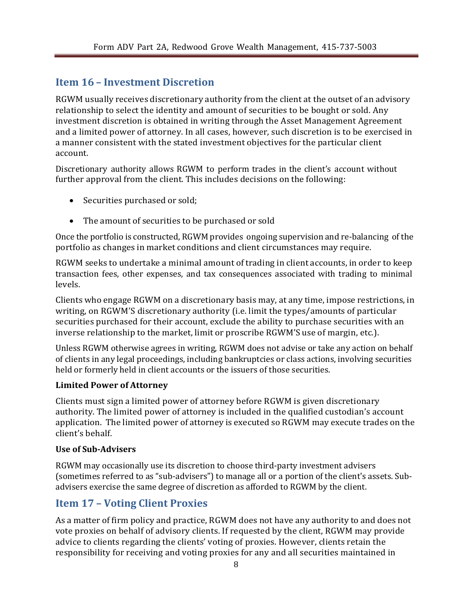## <span id="page-10-0"></span>**Item 16 – Investment Discretion**

RGWM usually receives discretionary authority from the client at the outset of an advisory relationship to select the identity and amount of securities to be bought or sold. Any investment discretion is obtained in writing through the Asset Management Agreement and a limited power of attorney. In all cases, however, such discretion is to be exercised in a manner consistent with the stated investment objectives for the particular client account.

Discretionary authority allows RGWM to perform trades in the client's account without further approval from the client. This includes decisions on the following:

- Securities purchased or sold;
- The amount of securities to be purchased or sold

Once the portfolio is constructed, RGWM provides ongoing supervision and re-balancing of the portfolio as changes in market conditions and client circumstances may require.

RGWM seeks to undertake a minimal amount of trading in client accounts, in order to keep transaction fees, other expenses, and tax consequences associated with trading to minimal levels.

Clients who engage RGWM on a discretionary basis may, at any time, impose restrictions, in writing, on RGWM'S discretionary authority (i.e. limit the types/amounts of particular securities purchased for their account, exclude the ability to purchase securities with an inverse relationship to the market, limit or proscribe RGWM'S use of margin, etc.).

Unless RGWM otherwise agrees in writing, RGWM does not advise or take any action on behalf of clients in any legal proceedings, including bankruptcies or class actions, involving securities held or formerly held in client accounts or the issuers of those securities.

#### **Limited Power of Attorney**

Clients must sign a limited power of attorney before RGWM is given discretionary authority. The limited power of attorney is included in the qualified custodian's account application. The limited power of attorney is executed so RGWM may execute trades on the client's behalf.

#### **Use of Sub-Advisers**

RGWM may occasionally use its discretion to choose third-party investment advisers (sometimes referred to as "sub-advisers") to manage all or a portion of the client's assets. Subadvisers exercise the same degree of discretion as afforded to RGWM by the client.

## <span id="page-10-1"></span>**Item 17 – Voting Client Proxies**

As a matter of firm policy and practice, RGWM does not have any authority to and does not vote proxies on behalf of advisory clients. If requested by the client, RGWM may provide advice to clients regarding the clients' voting of proxies. However, clients retain the responsibility for receiving and voting proxies for any and all securities maintained in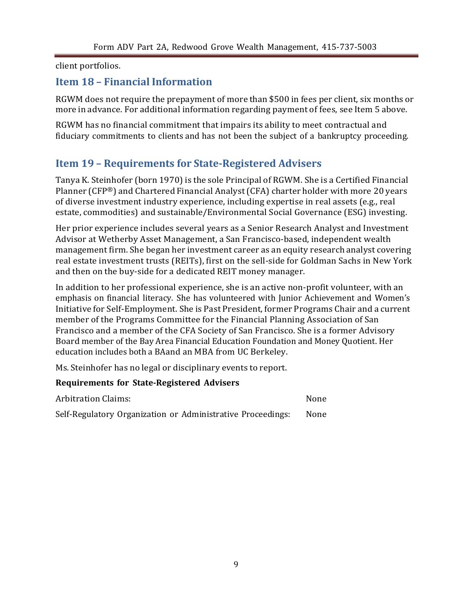client portfolios.

## <span id="page-11-0"></span>**Item 18 – Financial Information**

RGWM does not require the prepayment of more than \$500 in fees per client, six months or more in advance. For additional information regarding payment of fees, see Item 5 above.

RGWM has no financial commitment that impairs its ability to meet contractual and fiduciary commitments to clients and has not been the subject of a bankruptcy proceeding.

## <span id="page-11-1"></span>**Item 19 – Requirements for State-Registered Advisers**

Tanya K. Steinhofer (born 1970) is the sole Principal of RGWM. She is a Certified Financial Planner (CFP®) and Chartered Financial Analyst(CFA) charter holder with more 20 years of diverse investment industry experience, including expertise in real assets (e.g., real estate, commodities) and sustainable/Environmental Social Governance (ESG) investing.

Her prior experience includes several years as a Senior Research Analyst and Investment Advisor at Wetherby Asset Management, a San Francisco-based, independent wealth management firm. She began her investment career as an equity research analyst covering real estate investment trusts (REITs), first on the sell-side for Goldman Sachs in New York and then on the buy-side for a dedicated REIT money manager.

In addition to her professional experience, she is an active non-profit volunteer, with an emphasis on financial literacy. She has volunteered with Junior Achievement and Women's Initiative for Self-Employment. She is Past President, former Programs Chair and a current member of the Programs Committee for the Financial Planning Association of San Francisco and a member of the CFA Society of San Francisco. She is a former Advisory Board member of the Bay Area Financial Education Foundation and Money Quotient. Her education includes both a BAand an MBA from UC Berkeley.

Ms. Steinhofer has no legal or disciplinary events to report.

### **Requirements for State-Registered Advisers**

| <b>Arbitration Claims:</b>                                  | None |
|-------------------------------------------------------------|------|
| Self-Regulatory Organization or Administrative Proceedings: | None |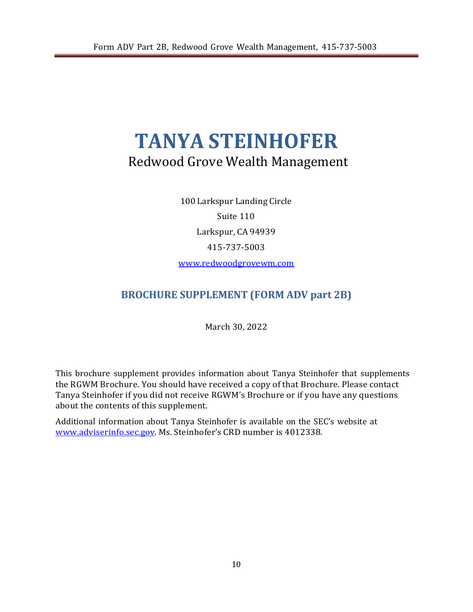# <span id="page-12-1"></span>**TANYA STEINHOFER** Redwood Grove Wealth Management

100 Larkspur Landing Circle Suite 110 Larkspur, CA 94939 415-737-5003 [www.redwoodgrovewm.com](http://www.redwoodgrovewm.com/)

## <span id="page-12-0"></span>**BROCHURE SUPPLEMENT (FORM ADV part 2B)**

March 30, 2022

This brochure supplement provides information about Tanya Steinhofer that supplements the RGWM Brochure. You should have received a copy of that Brochure. Please contact Tanya Steinhofer if you did not receive RGWM's Brochure or if you have any questions about the contents of this supplement.

Additional information about Tanya Steinhofer is available on the SEC's website at [www.adviserinfo.sec.gov. M](http://www.adviserinfo.sec.gov/)s. Steinhofer's CRD number is 4012338.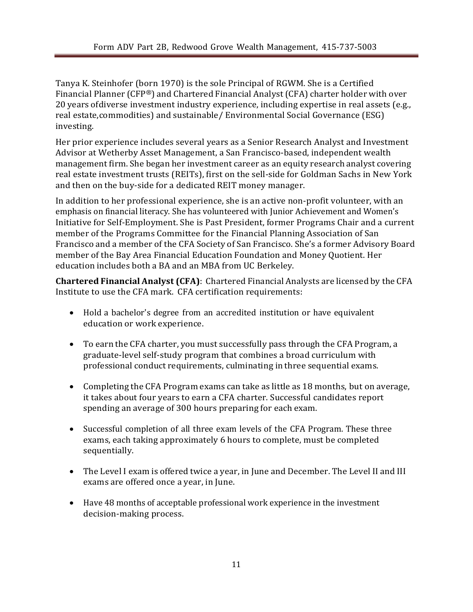Tanya K. Steinhofer (born 1970) is the sole Principal of RGWM. She is a Certified Financial Planner (CFP®) and Chartered Financial Analyst (CFA) charter holder with over 20 years ofdiverse investment industry experience, including expertise in real assets (e.g., real estate,commodities) and sustainable/ Environmental Social Governance (ESG) investing.

Her prior experience includes several years as a Senior Research Analyst and Investment Advisor at Wetherby Asset Management, a San Francisco-based, independent wealth management firm. She began her investment career as an equity research analyst covering real estate investment trusts (REITs), first on the sell-side for Goldman Sachs in New York and then on the buy-side for a dedicated REIT money manager.

In addition to her professional experience, she is an active non-profit volunteer, with an emphasis on financial literacy. She has volunteered with Junior Achievement and Women's Initiative for Self-Employment. She is Past President, former Programs Chair and a current member of the Programs Committee for the Financial Planning Association of San Francisco and a member of the CFA Society of San Francisco. She's a former Advisory Board member of the Bay Area Financial Education Foundation and Money Quotient. Her education includes both a BA and an MBA from UC Berkeley.

**Chartered Financial Analyst (CFA)**: Chartered Financial Analysts are licensed by the CFA Institute to use the CFA mark. CFA certification requirements:

- Hold a bachelor's degree from an accredited institution or have equivalent education or work experience.
- To earn the CFA charter, you must successfully pass through the CFA Program, a graduate-level self-study program that combines a broad curriculum with professional conduct requirements, culminating in three sequential exams.
- Completing the CFA Program exams can take as little as 18 months, but on average, it takes about four years to earn a CFA charter. Successful candidates report spending an average of 300 hours preparing for each exam.
- Successful completion of all three exam levels of the CFA Program. These three exams, each taking approximately 6 hours to complete, must be completed sequentially.
- The Level I exam is offered twice a year, in June and December. The Level II and III exams are offered once a year, in June.
- Have 48 months of acceptable [professional work](http://www.cfainstitute.org/about/membership/process/Pages/work_experience.aspx) experience in the investment decision-making process.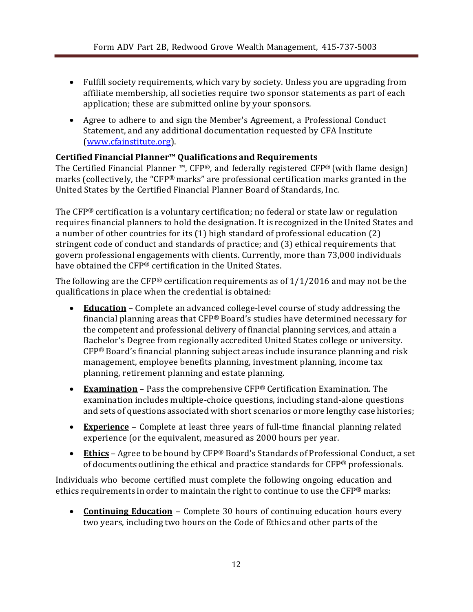- Fulfill society requirements, which vary by society. Unless you are upgrading from affiliate membership, all societies require [two sponsor statements a](http://www.cfainstitute.org/about/membership/process/Pages/membership_sponsors.aspx)s part of each application; these are submitted online by your sponsors.
- Agree to adhere to and sign the Member's Agreement, a [Professional](http://www.cfainstitute.org/ethics/conduct/Pages/about_pcs.aspx) Conduct [Statement, a](http://www.cfainstitute.org/ethics/conduct/Pages/about_pcs.aspx)nd any additional documentation requested by CFA Institute (www.cfainstitute.org).

#### **Certified Financial Planner™ Qualifications and Requirements**

The Certified Financial Planner ™, CFP®, and federally registered CFP® (with flame design) marks (collectively, the "CFP® marks" are professional certification marks granted in the United States by the Certified Financial Planner Board of Standards, Inc.

The CFP® certification is a voluntary certification; no federal or state law or regulation requires financial planners to hold the designation. It is recognized in the United States and a number of other countries for its (1) high standard of professional education (2) stringent code of conduct and standards of practice; and (3) ethical requirements that govern professional engagements with clients. Currently, more than 73,000 individuals have obtained the CFP® certification in the United States.

The following are the CFP® certification requirements as of  $1/1/2016$  and may not be the qualifications in place when the credential is obtained:

- **Education** Complete an advanced college-level course of study addressing the financial planning areas that CFP® Board's studies have determined necessary for the competent and professional delivery of financial planning services, and attain a Bachelor's Degree from regionally accredited United States college or university. CFP® Board's financial planning subject areas include insurance planning and risk management, employee benefits planning, investment planning, income tax planning, retirement planning and estate planning.
- **Examination** Pass the comprehensive CFP® Certification Examination. The examination includes multiple-choice questions, including stand-alone questions and sets of questions associated with short scenarios or more lengthy case histories;
- **Experience** Complete at least three years of full-time financial planning related experience (or the equivalent, measured as 2000 hours per year.
- **Ethics** Agree to be bound by CFP® Board's Standards of Professional Conduct, a set of documents outlining the ethical and practice standards for CFP® professionals.

Individuals who become certified must complete the following ongoing education and ethics requirements in order to maintain the right to continue to use the CFP® marks:

• **Continuing Education** – Complete 30 hours of continuing education hours every two years, including two hours on the Code of Ethics and other parts of the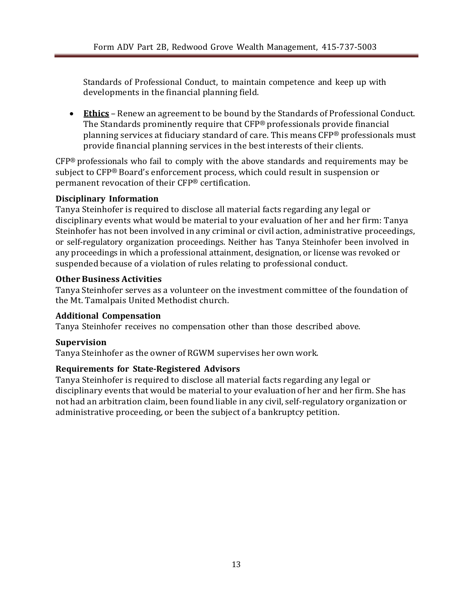Standards of Professional Conduct, to maintain competence and keep up with developments in the financial planning field.

• **Ethics** – Renew an agreement to be bound by the Standards of Professional Conduct. The Standards prominently require that CFP® professionals provide financial planning services at fiduciary standard of care. This means CFP® professionals must provide financial planning services in the best interests of their clients.

CFP® professionals who fail to comply with the above standards and requirements may be subject to CFP® Board's enforcement process, which could result in suspension or permanent revocation of their CFP® certification.

#### **Disciplinary Information**

Tanya Steinhofer is required to disclose all material facts regarding any legal or disciplinary events what would be material to your evaluation of her and her firm: Tanya Steinhofer has not been involved in any criminal or civil action, administrative proceedings, or self-regulatory organization proceedings. Neither has Tanya Steinhofer been involved in any proceedings in which a professional attainment, designation, or license was revoked or suspended because of a violation of rules relating to professional conduct.

#### **Other Business Activities**

Tanya Steinhofer serves as a volunteer on the investment committee of the foundation of the Mt. Tamalpais United Methodist church.

#### **Additional Compensation**

Tanya Steinhofer receives no compensation other than those described above.

#### **Supervision**

Tanya Steinhofer as the owner of RGWM supervises her own work.

#### **Requirements for State-Registered Advisors**

Tanya Steinhofer is required to disclose all material facts regarding any legal or disciplinary events that would be material to your evaluation of her and her firm. She has not had an arbitration claim, been found liable in any civil, self-regulatory organization or administrative proceeding, or been the subject of a bankruptcy petition.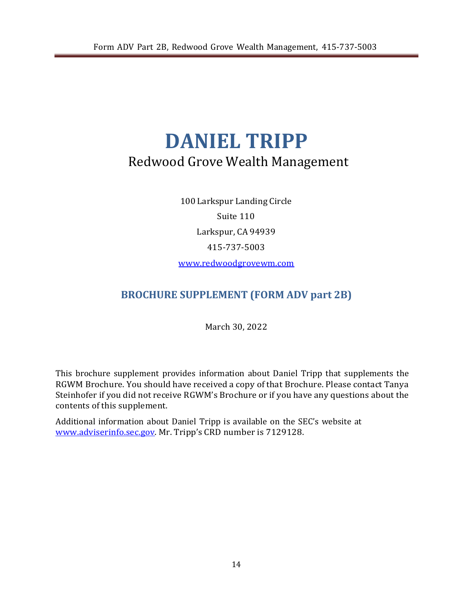# <span id="page-16-0"></span>**DANIEL TRIPP** Redwood Grove Wealth Management

100 Larkspur Landing Circle Suite 110 Larkspur, CA 94939 415-737-5003 [www.redwoodgrovewm.com](http://www.redwoodgrovewm.com/)

# **BROCHURE SUPPLEMENT (FORM ADV part 2B)**

March 30, 2022

This brochure supplement provides information about Daniel Tripp that supplements the RGWM Brochure. You should have received a copy of that Brochure. Please contact Tanya Steinhofer if you did not receive RGWM's Brochure or if you have any questions about the contents of this supplement.

Additional information about Daniel Tripp is available on the SEC's website at [www.adviserinfo.sec.gov. M](http://www.adviserinfo.sec.gov/)r. Tripp's CRD number is 7129128.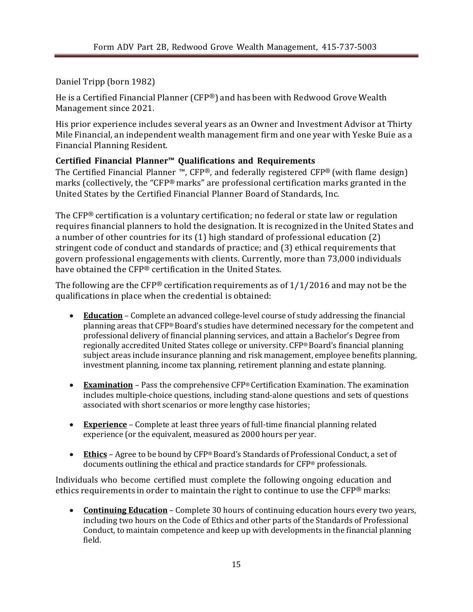Daniel Tripp (born 1982)

He is a Certified Financial Planner (CFP®) and has been with Redwood Grove Wealth Management since 2021.

His prior experience includes several years as an Owner and Investment Advisor at Thirty Mile Financial, an independent wealth management firm and one year with Yeske Buie as a Financial Planning Resident.

### **Certified Financial Planner™ Qualifications and Requirements**

The Certified Financial Planner ™, CFP®, and federally registered CFP® (with flame design) marks (collectively, the "CFP® marks" are professional certification marks granted in the United States by the Certified Financial Planner Board of Standards, Inc.

The CFP® certification is a voluntary certification; no federal or state law or regulation requires financial planners to hold the designation. It is recognized in the United States and a number of other countries for its (1) high standard of professional education (2) stringent code of conduct and standards of practice; and (3) ethical requirements that govern professional engagements with clients. Currently, more than 73,000 individuals have obtained the CFP® certification in the United States.

The following are the CFP® certification requirements as of  $1/1/2016$  and may not be the qualifications in place when the credential is obtained:

- **Education** Complete an advanced college-level course of study addressing the financial planning areas that CFP® Board's studies have determined necessary for the competent and professional delivery of financial planning services, and attain a Bachelor's Degree from regionally accredited United States college or university. CFP® Board's financial planning subject areas include insurance planning and risk management, employee benefits planning, investment planning, income tax planning, retirement planning and estate planning.
- **Examination** Pass the comprehensive CFP® Certification Examination. The examination includes multiple-choice questions, including stand-alone questions and sets of questions associated with short scenarios or more lengthy case histories;
- **Experience** Complete at least three years of full-time financial planning related experience (or the equivalent, measured as 2000 hours per year.
- **Ethics** Agree to be bound by CFP® Board's Standards of Professional Conduct, a set of documents outlining the ethical and practice standards for CFP® professionals.

Individuals who become certified must complete the following ongoing education and ethics requirements in order to maintain the right to continue to use the  $CFP^{\otimes}$  marks:

• **Continuing Education** – Complete 30 hours of continuing education hours every two years, including two hours on the Code of Ethics and other parts of the Standards of Professional Conduct, to maintain competence and keep up with developments in the financial planning field.